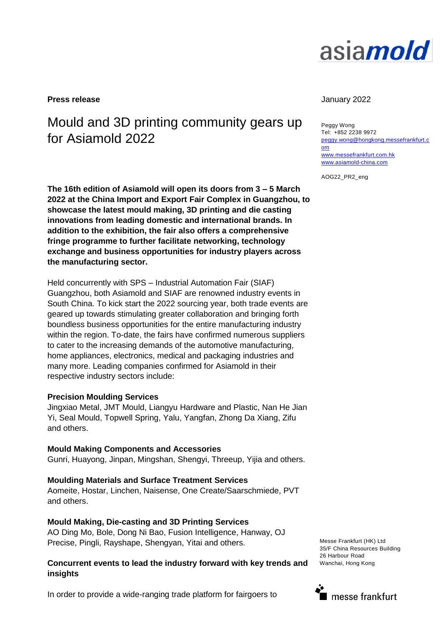# asia*mold*

**Press release** January 2022

## Mould and 3D printing community gears up for Asiamold 2022

**The 16th edition of Asiamold will open its doors from 3 – 5 March 2022 at the China Import and Export Fair Complex in Guangzhou, to showcase the latest mould making, 3D printing and die casting innovations from leading domestic and international brands. In addition to the exhibition, the fair also offers a comprehensive fringe programme to further facilitate networking, technology exchange and business opportunities for industry players across the manufacturing sector.**

Held concurrently with SPS – Industrial Automation Fair (SIAF) Guangzhou, both Asiamold and SIAF are renowned industry events in South China. To kick start the 2022 sourcing year, both trade events are geared up towards stimulating greater collaboration and bringing forth boundless business opportunities for the entire manufacturing industry within the region. To-date, the fairs have confirmed numerous suppliers to cater to the increasing demands of the automotive manufacturing, home appliances, electronics, medical and packaging industries and many more. Leading companies confirmed for Asiamold in their respective industry sectors include:

#### **Precision Moulding Services**

Jingxiao Metal, JMT Mould, Liangyu Hardware and Plastic, Nan He Jian Yi, Seal Mould, Topwell Spring, Yalu, Yangfan, Zhong Da Xiang, Zifu and others.

#### **Mould Making Components and Accessories**

Gunri, Huayong, Jinpan, Mingshan, Shengyi, Threeup, Yijia and others.

#### **Moulding Materials and Surface Treatment Services**

Aomeite, Hostar, Linchen, Naisense, One Create/Saarschmiede, PVT and others.

#### **Mould Making, Die-casting and 3D Printing Services**

AO Ding Mo, Bole, Dong Ni Bao, Fusion Intelligence, Hanway, OJ Precise, Pingli, Rayshape, Shengyan, Yitai and others.

#### **Concurrent events to lead the industry forward with key trends and insights**

Messe Frankfurt (HK) Ltd 35/F China Resources Building 26 Harbour Road Wanchai, Hong Kong

messe frankfurt

#### In order to provide a wide-ranging trade platform for fairgoers to

Peggy Wong Tel: +852 2238 9972 [peggy.wong@hongkong.messefrankfurt.c](mailto:peggy.wong@hongkong.messefrankfurt.com) [om](mailto:peggy.wong@hongkong.messefrankfurt.com)  [www.messefrankfurt.com.hk](http://www.messefrankfurt.com.hk/) [www.asiamold-china.com](http://www.asiamold-china.com/)

AOG22\_PR2\_eng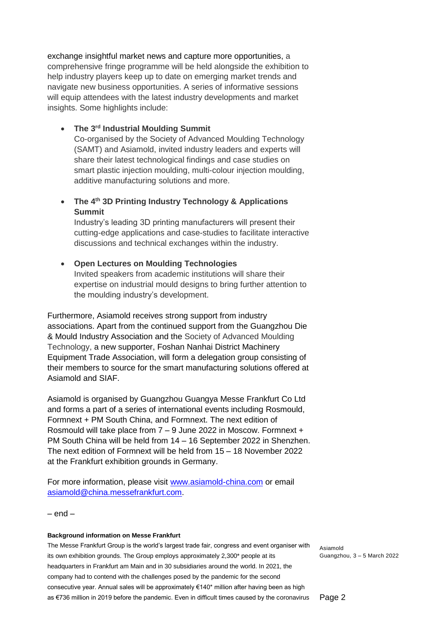exchange insightful market news and capture more opportunities, a comprehensive fringe programme will be held alongside the exhibition to help industry players keep up to date on emerging market trends and navigate new business opportunities. A series of informative sessions will equip attendees with the latest industry developments and market insights. Some highlights include:

#### **The 3rd Industrial Moulding Summit**

Co-organised by the Society of Advanced Moulding Technology (SAMT) and Asiamold, invited industry leaders and experts will share their latest technological findings and case studies on smart plastic injection moulding, multi-colour injection moulding, additive manufacturing solutions and more.

### **The 4th 3D Printing Industry Technology & Applications Summit**

Industry's leading 3D printing manufacturers will present their cutting-edge applications and case-studies to facilitate interactive discussions and technical exchanges within the industry.

#### **Open Lectures on Moulding Technologies**

Invited speakers from academic institutions will share their expertise on industrial mould designs to bring further attention to the moulding industry's development.

Furthermore, Asiamold receives strong support from industry associations. Apart from the continued support from the Guangzhou Die & Mould Industry Association and the Society of Advanced Moulding Technology, a new supporter, Foshan Nanhai District Machinery Equipment Trade Association, will form a delegation group consisting of their members to source for the smart manufacturing solutions offered at Asiamold and SIAF.

Asiamold is organised by Guangzhou Guangya Messe Frankfurt Co Ltd and forms a part of a series of international events including Rosmould, Formnext + PM South China, and Formnext. The next edition of Rosmould will take place from  $7 - 9$  June 2022 in Moscow. Formnext  $+$ PM South China will be held from 14 – 16 September 2022 in Shenzhen. The next edition of Formnext will be held from 15 – 18 November 2022 at the Frankfurt exhibition grounds in Germany.

For more information, please visit [www.asiamold-china.com](http://www.asiamold-china.com/) or email [asiamold@china.messefrankfurt.com.](mailto:asiamold@china.messefrankfurt.com)

 $-$  end  $-$ 

#### **Background information on Messe Frankfurt**

The Messe Frankfurt Group is the world's largest trade fair, congress and event organiser with its own exhibition grounds. The Group employs approximately 2,300\* people at its headquarters in Frankfurt am Main and in 30 subsidiaries around the world. In 2021, the company had to contend with the challenges posed by the pandemic for the second consecutive year. Annual sales will be approximately €140\* million after having been as high as €736 million in 2019 before the pandemic. Even in difficult times caused by the coronavirus

Asiamold Guangzhou, 3 – 5 March 2022